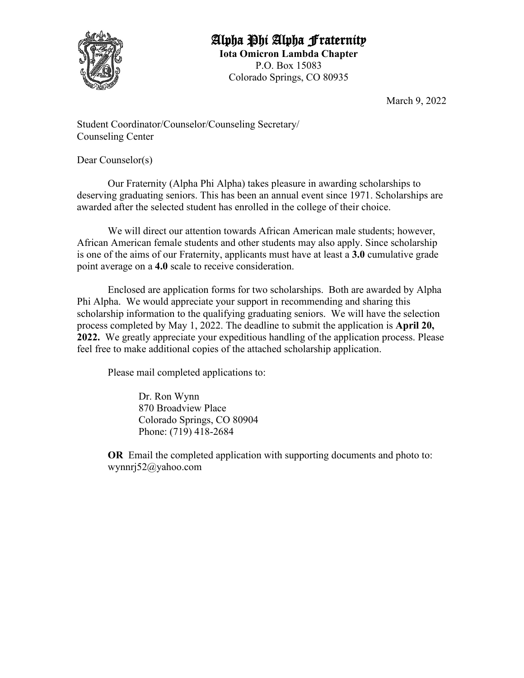

## Alpha Phi Alpha Fraternity **Iota Omicron Lambda Chapter**

P.O. Box 15083 Colorado Springs, CO 80935

March 9, 2022

Student Coordinator/Counselor/Counseling Secretary/ Counseling Center

Dear Counselor(s)

Our Fraternity (Alpha Phi Alpha) takes pleasure in awarding scholarships to deserving graduating seniors. This has been an annual event since 1971. Scholarships are awarded after the selected student has enrolled in the college of their choice.

We will direct our attention towards African American male students; however, African American female students and other students may also apply. Since scholarship is one of the aims of our Fraternity, applicants must have at least a **3.0** cumulative grade point average on a **4.0** scale to receive consideration.

Enclosed are application forms for two scholarships. Both are awarded by Alpha Phi Alpha. We would appreciate your support in recommending and sharing this scholarship information to the qualifying graduating seniors. We will have the selection process completed by May 1, 2022. The deadline to submit the application is **April 20, 2022.** We greatly appreciate your expeditious handling of the application process. Please feel free to make additional copies of the attached scholarship application.

Please mail completed applications to:

Dr. Ron Wynn 870 Broadview Place Colorado Springs, CO 80904 Phone: (719) 418-2684

**OR** Email the completed application with supporting documents and photo to: wynnrj52@yahoo.com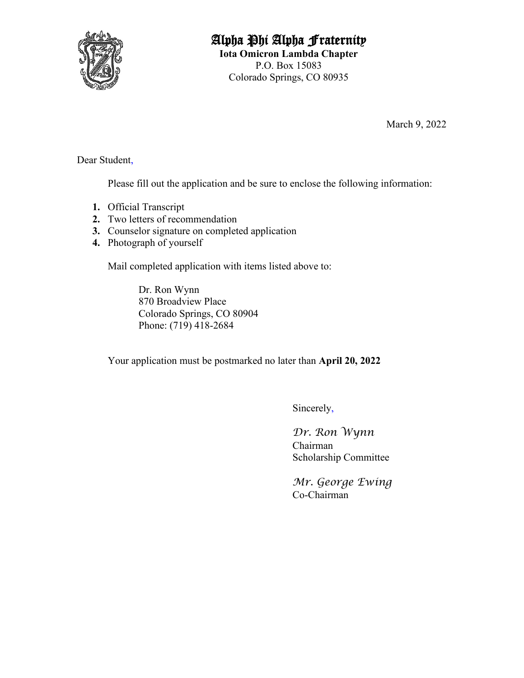

# Alpha Phi Alpha Fraternity

**Iota Omicron Lambda Chapter** P.O. Box 15083 Colorado Springs, CO 80935

March 9, 2022

Dear Student,

Please fill out the application and be sure to enclose the following information:

- **1.** Official Transcript
- **2.** Two letters of recommendation
- **3.** Counselor signature on completed application
- **4.** Photograph of yourself

Mail completed application with items listed above to:

Dr. Ron Wynn 870 Broadview Place Colorado Springs, CO 80904 Phone: (719) 418-2684

Your application must be postmarked no later than **April 20, 2022**

Sincerely,

*Dr. Ron Wynn* Chairman Scholarship Committee

*Mr. George Ewing* Co-Chairman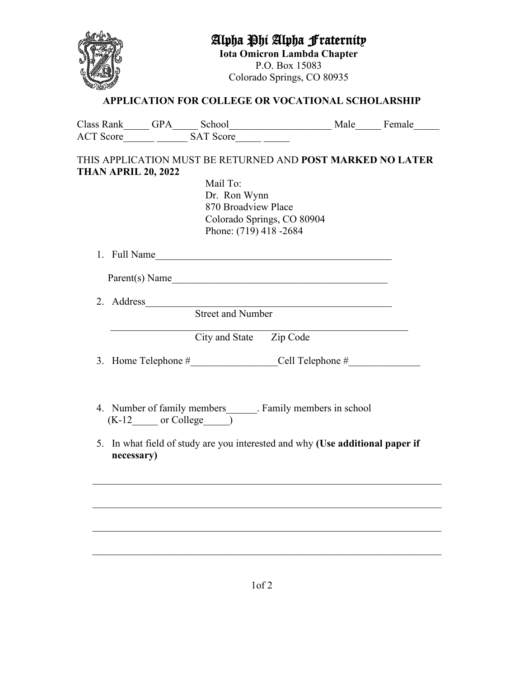### Alpha Phi Alpha Fraternity

**Iota Omicron Lambda Chapter** P.O. Box 15083 Colorado Springs, CO 80935



#### **APPLICATION FOR COLLEGE OR VOCATIONAL SCHOLARSHIP**

|                            |                        | Class Rank GPA School Male Female                                                                          |                                                                                                                        |  |
|----------------------------|------------------------|------------------------------------------------------------------------------------------------------------|------------------------------------------------------------------------------------------------------------------------|--|
|                            | SAT Score<br>ACT Score |                                                                                                            |                                                                                                                        |  |
| <b>THAN APRIL 20, 2022</b> |                        | THIS APPLICATION MUST BE RETURNED AND POST MARKED NO LATER                                                 |                                                                                                                        |  |
|                            |                        | Mail To:                                                                                                   |                                                                                                                        |  |
|                            |                        | Dr. Ron Wynn                                                                                               |                                                                                                                        |  |
|                            |                        | 870 Broadview Place                                                                                        |                                                                                                                        |  |
|                            |                        |                                                                                                            | Colorado Springs, CO 80904                                                                                             |  |
|                            |                        | Phone: (719) 418 -2684                                                                                     |                                                                                                                        |  |
|                            |                        | 1. Full Name                                                                                               |                                                                                                                        |  |
|                            |                        | Parent(s) Name                                                                                             |                                                                                                                        |  |
| 2. Address                 |                        |                                                                                                            | <u> 1989 - Johann Stoff, deutscher Stoffen und der Stoffen und der Stoffen und der Stoffen und der Stoffen und der</u> |  |
|                            |                        | <b>Street and Number</b>                                                                                   |                                                                                                                        |  |
|                            |                        | City and State Zip Code                                                                                    |                                                                                                                        |  |
|                            |                        | 3. Home Telephone # Cell Telephone #                                                                       |                                                                                                                        |  |
|                            |                        |                                                                                                            |                                                                                                                        |  |
|                            |                        | 4. Number of family members _______. Family members in school<br>$(K-12 \qquad \text{or College} \qquad )$ |                                                                                                                        |  |
| necessary)                 |                        | 5. In what field of study are you interested and why (Use additional paper if                              |                                                                                                                        |  |
|                            |                        |                                                                                                            |                                                                                                                        |  |
|                            |                        |                                                                                                            |                                                                                                                        |  |
|                            |                        |                                                                                                            |                                                                                                                        |  |
|                            |                        |                                                                                                            |                                                                                                                        |  |
|                            |                        |                                                                                                            |                                                                                                                        |  |